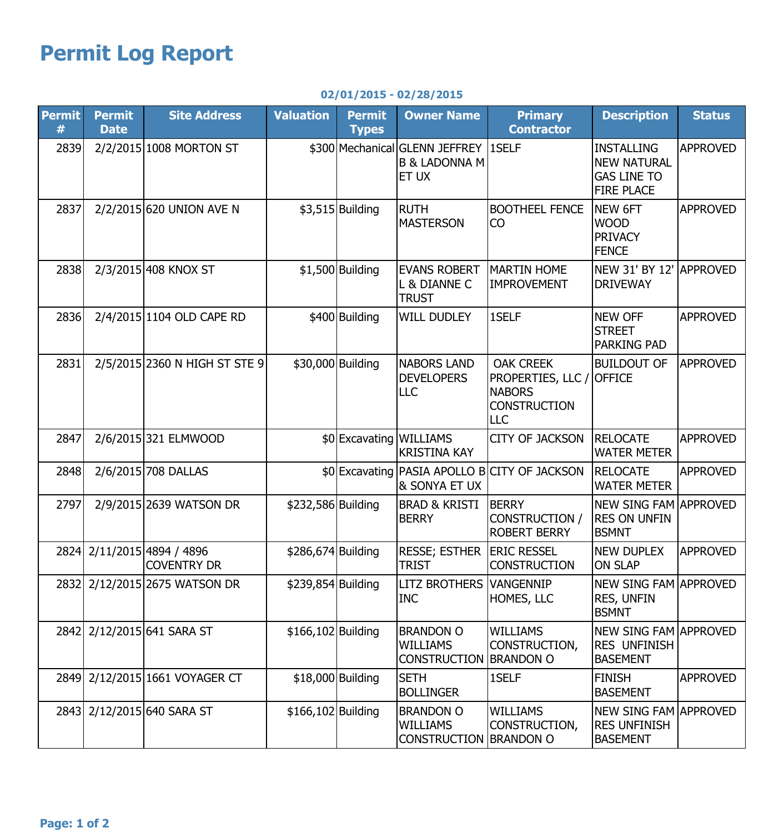## **Permit Log Report**

| <b>Permit</b><br># | <b>Permit</b><br><b>Date</b> | <b>Site Address</b>                         | <b>Valuation</b>   | <b>Permit</b><br><b>Types</b> | <b>Owner Name</b>                                                                | <b>Primary</b><br><b>Contractor</b>                                                         | <b>Description</b>                                                                 | <b>Status</b>   |
|--------------------|------------------------------|---------------------------------------------|--------------------|-------------------------------|----------------------------------------------------------------------------------|---------------------------------------------------------------------------------------------|------------------------------------------------------------------------------------|-----------------|
| 2839               |                              | 2/2/2015 1008 MORTON ST                     |                    |                               | \$300 Mechanical GLENN JEFFREY 1SELF<br><b>B &amp; LADONNA M</b><br><b>ET UX</b> |                                                                                             | <b>INSTALLING</b><br><b>NEW NATURAL</b><br><b>GAS LINE TO</b><br><b>FIRE PLACE</b> | <b>APPROVED</b> |
| 2837               |                              | 2/2/2015 620 UNION AVE N                    |                    | $$3,515$ Building             | <b>RUTH</b><br><b>MASTERSON</b>                                                  | <b>BOOTHEEL FENCE</b><br><b>CO</b>                                                          | NEW 6FT<br><b>WOOD</b><br><b>PRIVACY</b><br><b>FENCE</b>                           | <b>APPROVED</b> |
| 2838               |                              | 2/3/2015 408 KNOX ST                        |                    | $$1,500$ Building             | <b>EVANS ROBERT</b><br>L & DIANNE C<br><b>TRUST</b>                              | <b>MARTIN HOME</b><br><b>IMPROVEMENT</b>                                                    | NEW 31' BY 12'<br><b>DRIVEWAY</b>                                                  | <b>APPROVED</b> |
| 2836               |                              | 2/4/2015 1104 OLD CAPE RD                   |                    | \$400 Building                | <b>WILL DUDLEY</b>                                                               | 1SELF                                                                                       | <b>NEW OFF</b><br><b>STREET</b><br><b>PARKING PAD</b>                              | <b>APPROVED</b> |
| 2831               |                              | 2/5/2015 2360 N HIGH ST STE 9               |                    | \$30,000 Building             | <b>NABORS LAND</b><br><b>DEVELOPERS</b><br><b>LLC</b>                            | <b>OAK CREEK</b><br>PROPERTIES, LLC /<br><b>NABORS</b><br><b>CONSTRUCTION</b><br><b>LLC</b> | <b>BUILDOUT OF</b><br><b>OFFICE</b>                                                | <b>APPROVED</b> |
| 2847               |                              | 2/6/2015 321 ELMWOOD                        |                    | \$0 Excavating WILLIAMS       | <b>KRISTINA KAY</b>                                                              | <b>CITY OF JACKSON</b>                                                                      | <b>RELOCATE</b><br><b>WATER METER</b>                                              | <b>APPROVED</b> |
| 2848               |                              | 2/6/2015 708 DALLAS                         |                    |                               | & SONYA ET UX                                                                    | \$0 Excavating PASIA APOLLO B CITY OF JACKSON                                               | <b>RELOCATE</b><br><b>WATER METER</b>                                              | <b>APPROVED</b> |
| 2797               |                              | 2/9/2015 2639 WATSON DR                     | \$232,586 Building |                               | <b>BRAD &amp; KRISTI</b><br><b>BERRY</b>                                         | <b>BERRY</b><br>CONSTRUCTION /<br><b>ROBERT BERRY</b>                                       | <b>NEW SING FAM APPROVED</b><br><b>RES ON UNFIN</b><br><b>BSMNT</b>                |                 |
| 2824               |                              | 2/11/2015 4894 / 4896<br><b>COVENTRY DR</b> | \$286,674 Building |                               | <b>RESSE; ESTHER</b><br><b>TRIST</b>                                             | <b>ERIC RESSEL</b><br><b>CONSTRUCTION</b>                                                   | <b>NEW DUPLEX</b><br><b>ON SLAP</b>                                                | <b>APPROVED</b> |
|                    |                              | 2832  2/12/2015 2675 WATSON DR              | \$239,854 Building |                               | <b>LITZ BROTHERS VANGENNIP</b><br><b>INC</b>                                     | HOMES, LLC                                                                                  | NEW SING FAM APPROVED<br>RES, UNFIN<br><b>BSMNT</b>                                |                 |
|                    |                              | 2842 2/12/2015 641 SARA ST                  | \$166,102 Building |                               | <b>BRANDON O</b><br><b>WILLIAMS</b><br>CONSTRUCTION BRANDON O                    | <b>WILLIAMS</b><br>CONSTRUCTION,                                                            | <b>NEW SING FAM APPROVED</b><br><b>RES UNFINISH</b><br><b>BASEMENT</b>             |                 |
|                    |                              | 2849 2/12/2015 1661 VOYAGER CT              |                    | \$18,000 Building             | <b>SETH</b><br><b>BOLLINGER</b>                                                  | 1SELF                                                                                       | <b>FINISH</b><br><b>BASEMENT</b>                                                   | <b>APPROVED</b> |
|                    |                              | 2843 2/12/2015 640 SARA ST                  | \$166,102 Building |                               | <b>BRANDON O</b><br><b>WILLIAMS</b><br>CONSTRUCTION BRANDON O                    | <b>WILLIAMS</b><br>CONSTRUCTION,                                                            | NEW SING FAM APPROVED<br><b>RES UNFINISH</b><br><b>BASEMENT</b>                    |                 |

## **02/01/2015 - 02/28/2015**